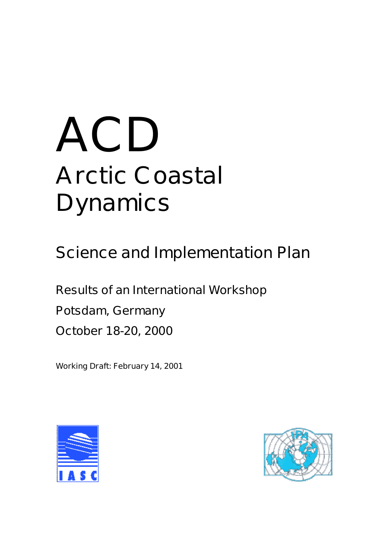# **ACD Arctic Coastal Dynamics**

**Science and Implementation Plan**

**Results of an International Workshop Potsdam, Germany October 18-20, 2000**

**Working Draft: February 14, 2001**



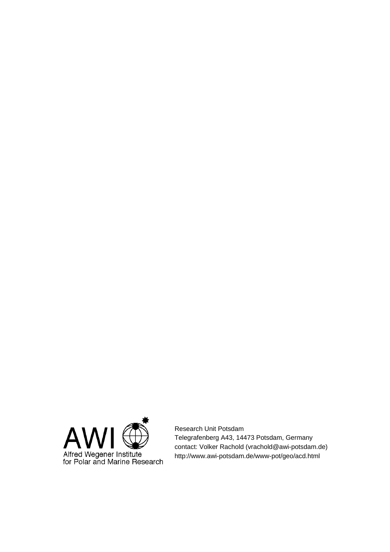

Research Unit Potsdam Telegrafenberg A43, 14473 Potsdam, Germany contact: Volker Rachold (vrachold@awi-potsdam.de) http://www.awi-potsdam.de/www-pot/geo/acd.html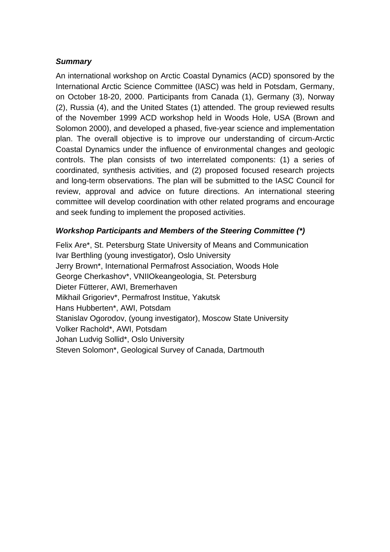### *Summary*

An international workshop on Arctic Coastal Dynamics (ACD) sponsored by the International Arctic Science Committee (IASC) was held in Potsdam, Germany, on October 18-20, 2000. Participants from Canada (1), Germany (3), Norway (2), Russia (4), and the United States (1) attended. The group reviewed results of the November 1999 ACD workshop held in Woods Hole, USA (Brown and Solomon 2000), and developed a phased, five-year science and implementation plan. The overall objective is to improve our understanding of circum-Arctic Coastal Dynamics under the influence of environmental changes and geologic controls. The plan consists of two interrelated components: (1) a series of coordinated, synthesis activities, and (2) proposed focused research projects and long-term observations. The plan will be submitted to the IASC Council for review, approval and advice on future directions. An international steering committee will develop coordination with other related programs and encourage and seek funding to implement the proposed activities.

## *Workshop Participants and Members of the Steering Committee (\*)*

Felix Are\*, St. Petersburg State University of Means and Communication Ivar Berthling (young investigator), Oslo University Jerry Brown\*, International Permafrost Association, Woods Hole George Cherkashov\*, VNIIOkeangeologia, St. Petersburg Dieter Fütterer, AWI, Bremerhaven Mikhail Grigoriev\*, Permafrost Institue, Yakutsk Hans Hubberten\*, AWI, Potsdam Stanislav Ogorodov, (young investigator), Moscow State University Volker Rachold\*, AWI, Potsdam Johan Ludvig Sollid\*, Oslo University Steven Solomon\*, Geological Survey of Canada, Dartmouth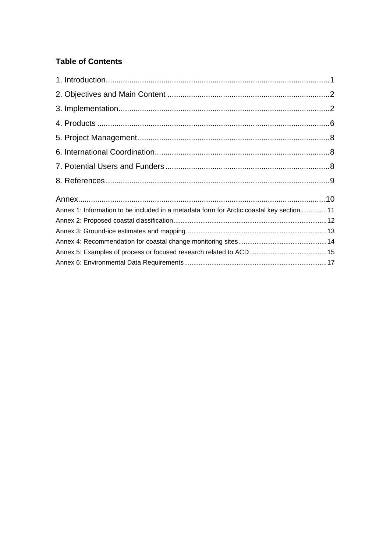## **Table of Contents**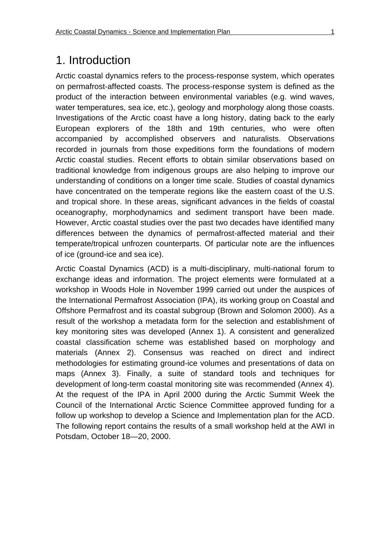# 1. Introduction

Arctic coastal dynamics refers to the process-response system, which operates on permafrost-affected coasts. The process-response system is defined as the product of the interaction between environmental variables (e.g. wind waves, water temperatures, sea ice, etc.), geology and morphology along those coasts. Investigations of the Arctic coast have a long history, dating back to the early European explorers of the 18th and 19th centuries, who were often accompanied by accomplished observers and naturalists. Observations recorded in journals from those expeditions form the foundations of modern Arctic coastal studies. Recent efforts to obtain similar observations based on traditional knowledge from indigenous groups are also helping to improve our understanding of conditions on a longer time scale. Studies of coastal dynamics have concentrated on the temperate regions like the eastern coast of the U.S. and tropical shore. In these areas, significant advances in the fields of coastal oceanography, morphodynamics and sediment transport have been made. However, Arctic coastal studies over the past two decades have identified many differences between the dynamics of permafrost-affected material and their temperate/tropical unfrozen counterparts. Of particular note are the influences of ice (ground-ice and sea ice).

Arctic Coastal Dynamics (ACD) is a multi-disciplinary, multi-national forum to exchange ideas and information. The project elements were formulated at a workshop in Woods Hole in November 1999 carried out under the auspices of the International Permafrost Association (IPA), its working group on Coastal and Offshore Permafrost and its coastal subgroup (Brown and Solomon 2000). As a result of the workshop a metadata form for the selection and establishment of key monitoring sites was developed (Annex 1). A consistent and generalized coastal classification scheme was established based on morphology and materials (Annex 2). Consensus was reached on direct and indirect methodologies for estimating ground-ice volumes and presentations of data on maps (Annex 3). Finally, a suite of standard tools and techniques for development of long-term coastal monitoring site was recommended (Annex 4). At the request of the IPA in April 2000 during the Arctic Summit Week the Council of the International Arctic Science Committee approved funding for a follow up workshop to develop a Science and Implementation plan for the ACD. The following report contains the results of a small workshop held at the AWI in Potsdam, October 18—20, 2000.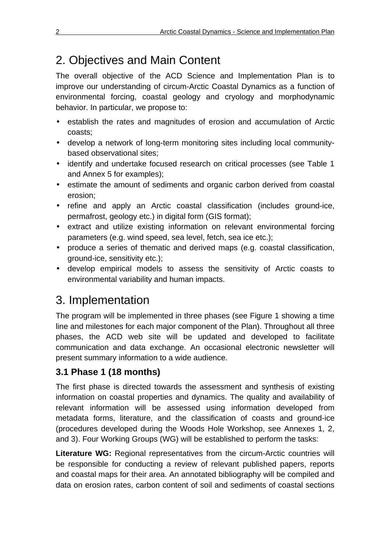# 2. Objectives and Main Content

The overall objective of the ACD Science and Implementation Plan is to improve our understanding of circum-Arctic Coastal Dynamics as a function of environmental forcing, coastal geology and cryology and morphodynamic behavior. In particular, we propose to:

- establish the rates and magnitudes of erosion and accumulation of Arctic coasts;
- develop a network of long-term monitoring sites including local communitybased observational sites;
- identify and undertake focused research on critical processes (see Table 1 and Annex 5 for examples);
- estimate the amount of sediments and organic carbon derived from coastal erosion;
- refine and apply an Arctic coastal classification (includes ground-ice, permafrost, geology etc.) in digital form (GIS format);
- extract and utilize existing information on relevant environmental forcing parameters (e.g. wind speed, sea level, fetch, sea ice etc.);
- produce a series of thematic and derived maps (e.g. coastal classification, ground-ice, sensitivity etc.);
- develop empirical models to assess the sensitivity of Arctic coasts to environmental variability and human impacts.

# 3. Implementation

The program will be implemented in three phases (see Figure 1 showing a time line and milestones for each major component of the Plan). Throughout all three phases, the ACD web site will be updated and developed to facilitate communication and data exchange. An occasional electronic newsletter will present summary information to a wide audience.

## **3.1 Phase 1 (18 months)**

The first phase is directed towards the assessment and synthesis of existing information on coastal properties and dynamics. The quality and availability of relevant information will be assessed using information developed from metadata forms, literature, and the classification of coasts and ground-ice (procedures developed during the Woods Hole Workshop, see Annexes 1, 2, and 3). Four Working Groups (WG) will be established to perform the tasks:

**Literature WG:** Regional representatives from the circum-Arctic countries will be responsible for conducting a review of relevant published papers, reports and coastal maps for their area. An annotated bibliography will be compiled and data on erosion rates, carbon content of soil and sediments of coastal sections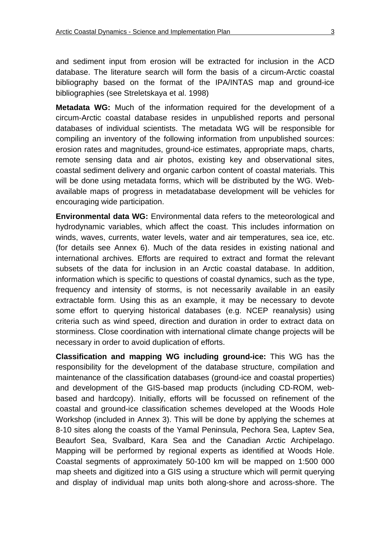and sediment input from erosion will be extracted for inclusion in the ACD database. The literature search will form the basis of a circum-Arctic coastal bibliography based on the format of the IPA/INTAS map and ground-ice bibliographies (see Streletskaya et al. 1998)

**Metadata WG:** Much of the information required for the development of a circum-Arctic coastal database resides in unpublished reports and personal databases of individual scientists. The metadata WG will be responsible for compiling an inventory of the following information from unpublished sources: erosion rates and magnitudes, ground-ice estimates, appropriate maps, charts, remote sensing data and air photos, existing key and observational sites, coastal sediment delivery and organic carbon content of coastal materials. This will be done using metadata forms, which will be distributed by the WG. Webavailable maps of progress in metadatabase development will be vehicles for encouraging wide participation.

**Environmental data WG:** Environmental data refers to the meteorological and hydrodynamic variables, which affect the coast. This includes information on winds, waves, currents, water levels, water and air temperatures, sea ice, etc. (for details see Annex 6). Much of the data resides in existing national and international archives. Efforts are required to extract and format the relevant subsets of the data for inclusion in an Arctic coastal database. In addition, information which is specific to questions of coastal dynamics, such as the type, frequency and intensity of storms, is not necessarily available in an easily extractable form. Using this as an example, it may be necessary to devote some effort to querying historical databases (e.g. NCEP reanalysis) using criteria such as wind speed, direction and duration in order to extract data on storminess. Close coordination with international climate change projects will be necessary in order to avoid duplication of efforts.

**Classification and mapping WG including ground-ice:** This WG has the responsibility for the development of the database structure, compilation and maintenance of the classification databases (ground-ice and coastal properties) and development of the GIS-based map products (including CD-ROM, webbased and hardcopy). Initially, efforts will be focussed on refinement of the coastal and ground-ice classification schemes developed at the Woods Hole Workshop (included in Annex 3). This will be done by applying the schemes at 8-10 sites along the coasts of the Yamal Peninsula, Pechora Sea, Laptev Sea, Beaufort Sea, Svalbard, Kara Sea and the Canadian Arctic Archipelago. Mapping will be performed by regional experts as identified at Woods Hole. Coastal segments of approximately 50-100 km will be mapped on 1:500 000 map sheets and digitized into a GIS using a structure which will permit querying and display of individual map units both along-shore and across-shore. The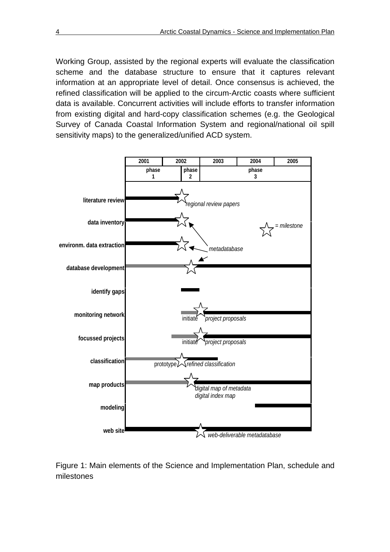Working Group, assisted by the regional experts will evaluate the classification scheme and the database structure to ensure that it captures relevant information at an appropriate level of detail. Once consensus is achieved, the refined classification will be applied to the circum-Arctic coasts where sufficient data is available. Concurrent activities will include efforts to transfer information from existing digital and hard-copy classification schemes (e.g. the Geological Survey of Canada Coastal Information System and regional/national oil spill sensitivity maps) to the generalized/unified ACD system.



Figure 1: Main elements of the Science and Implementation Plan, schedule and milestones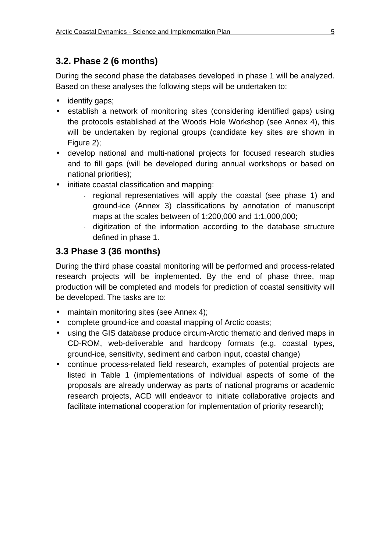## **3.2. Phase 2 (6 months)**

During the second phase the databases developed in phase 1 will be analyzed. Based on these analyses the following steps will be undertaken to:

- identify gaps;
- establish a network of monitoring sites (considering identified gaps) using the protocols established at the Woods Hole Workshop (see Annex 4), this will be undertaken by regional groups (candidate key sites are shown in Figure 2);
- develop national and multi-national projects for focused research studies and to fill gaps (will be developed during annual workshops or based on national priorities);
- initiate coastal classification and mapping:
	- regional representatives will apply the coastal (see phase 1) and ground-ice (Annex 3) classifications by annotation of manuscript maps at the scales between of 1:200,000 and 1:1,000,000;
	- digitization of the information according to the database structure defined in phase 1.

## **3.3 Phase 3 (36 months)**

During the third phase coastal monitoring will be performed and process-related research projects will be implemented. By the end of phase three, map production will be completed and models for prediction of coastal sensitivity will be developed. The tasks are to:

- maintain monitoring sites (see Annex 4);
- complete ground-ice and coastal mapping of Arctic coasts;
- using the GIS database produce circum-Arctic thematic and derived maps in CD-ROM, web-deliverable and hardcopy formats (e.g. coastal types, ground-ice, sensitivity, sediment and carbon input, coastal change)
- continue process-related field research, examples of potential projects are listed in Table 1 (implementations of individual aspects of some of the proposals are already underway as parts of national programs or academic research projects, ACD will endeavor to initiate collaborative projects and facilitate international cooperation for implementation of priority research);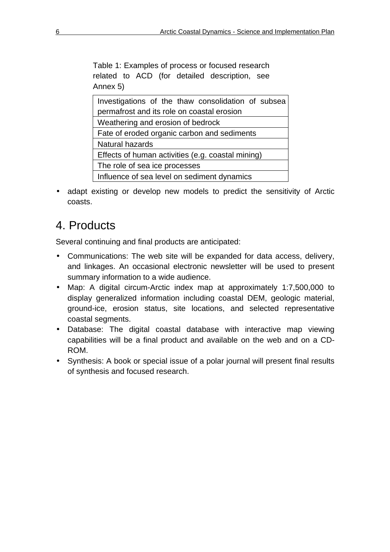Table 1: Examples of process or focused research related to ACD (for detailed description, see Annex 5)

| Investigations of the thaw consolidation of subsea |  |  |  |  |  |  |  |
|----------------------------------------------------|--|--|--|--|--|--|--|
| permafrost and its role on coastal erosion         |  |  |  |  |  |  |  |
| Weathering and erosion of bedrock                  |  |  |  |  |  |  |  |
| Fate of eroded organic carbon and sediments        |  |  |  |  |  |  |  |
| Natural hazards                                    |  |  |  |  |  |  |  |
| Effects of human activities (e.g. coastal mining)  |  |  |  |  |  |  |  |
| The role of sea ice processes                      |  |  |  |  |  |  |  |
| Influence of sea level on sediment dynamics        |  |  |  |  |  |  |  |

• adapt existing or develop new models to predict the sensitivity of Arctic coasts.

# 4. Products

Several continuing and final products are anticipated:

- Communications: The web site will be expanded for data access, delivery, and linkages. An occasional electronic newsletter will be used to present summary information to a wide audience.
- Map: A digital circum-Arctic index map at approximately 1:7,500,000 to display generalized information including coastal DEM, geologic material, ground-ice, erosion status, site locations, and selected representative coastal segments.
- Database: The digital coastal database with interactive map viewing capabilities will be a final product and available on the web and on a CD-ROM.
- Synthesis: A book or special issue of a polar journal will present final results of synthesis and focused research.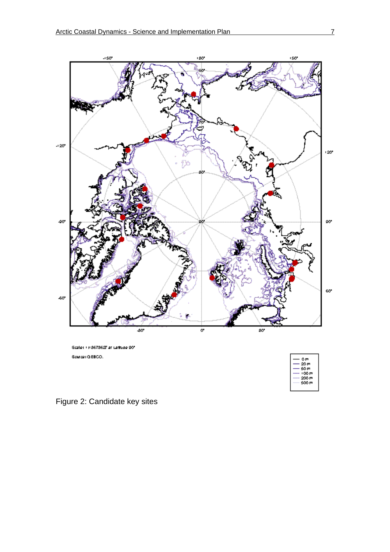

| Οm,    |
|--------|
| -20 m  |
| – 60 m |
| 100 m  |
| 200 m  |
| 500 m  |
|        |

Figure 2: Candidate key sites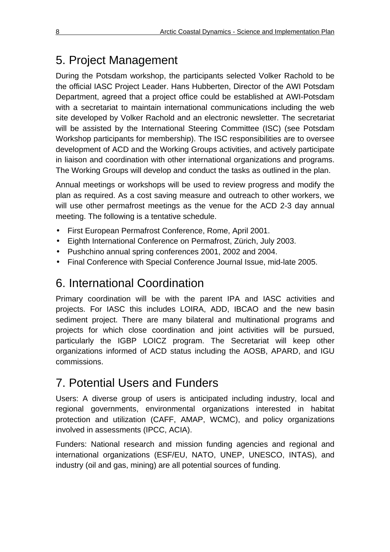# 5. Project Management

During the Potsdam workshop, the participants selected Volker Rachold to be the official IASC Project Leader. Hans Hubberten, Director of the AWI Potsdam Department, agreed that a project office could be established at AWI-Potsdam with a secretariat to maintain international communications including the web site developed by Volker Rachold and an electronic newsletter. The secretariat will be assisted by the International Steering Committee (ISC) (see Potsdam Workshop participants for membership). The ISC responsibilities are to oversee development of ACD and the Working Groups activities, and actively participate in liaison and coordination with other international organizations and programs. The Working Groups will develop and conduct the tasks as outlined in the plan.

Annual meetings or workshops will be used to review progress and modify the plan as required. As a cost saving measure and outreach to other workers, we will use other permafrost meetings as the venue for the ACD 2-3 day annual meeting. The following is a tentative schedule.

- First European Permafrost Conference, Rome, April 2001.
- Eighth International Conference on Permafrost, Zürich, July 2003.
- Pushchino annual spring conferences 2001, 2002 and 2004.
- Final Conference with Special Conference Journal Issue, mid-late 2005.

# 6. International Coordination

Primary coordination will be with the parent IPA and IASC activities and projects. For IASC this includes LOIRA, ADD, IBCAO and the new basin sediment project. There are many bilateral and multinational programs and projects for which close coordination and joint activities will be pursued, particularly the IGBP LOICZ program. The Secretariat will keep other organizations informed of ACD status including the AOSB, APARD, and IGU commissions.

# 7. Potential Users and Funders

Users: A diverse group of users is anticipated including industry, local and regional governments, environmental organizations interested in habitat protection and utilization (CAFF, AMAP, WCMC), and policy organizations involved in assessments (IPCC, ACIA).

Funders: National research and mission funding agencies and regional and international organizations (ESF/EU, NATO, UNEP, UNESCO, INTAS), and industry (oil and gas, mining) are all potential sources of funding.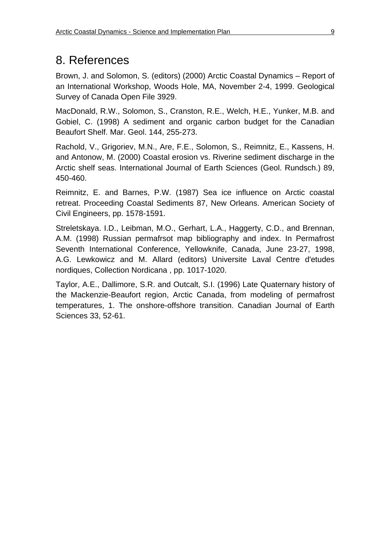## 8. References

Brown, J. and Solomon, S. (editors) (2000) Arctic Coastal Dynamics – Report of an International Workshop, Woods Hole, MA, November 2-4, 1999. Geological Survey of Canada Open File 3929.

MacDonald, R.W., Solomon, S., Cranston, R.E., Welch, H.E., Yunker, M.B. and Gobiel, C. (1998) A sediment and organic carbon budget for the Canadian Beaufort Shelf. Mar. Geol. 144, 255-273.

Rachold, V., Grigoriev, M.N., Are, F.E., Solomon, S., Reimnitz, E., Kassens, H. and Antonow, M. (2000) Coastal erosion vs. Riverine sediment discharge in the Arctic shelf seas. International Journal of Earth Sciences (Geol. Rundsch.) 89, 450-460.

Reimnitz, E. and Barnes, P.W. (1987) Sea ice influence on Arctic coastal retreat. Proceeding Coastal Sediments 87, New Orleans. American Society of Civil Engineers, pp. 1578-1591.

Streletskaya. I.D., Leibman, M.O., Gerhart, L.A., Haggerty, C.D., and Brennan, A.M. (1998) Russian permafrsot map bibliography and index. In Permafrost Seventh International Conference, Yellowknife, Canada, June 23-27, 1998, A.G. Lewkowicz and M. Allard (editors) Universite Laval Centre d'etudes nordiques, Collection Nordicana , pp. 1017-1020.

Taylor, A.E., Dallimore, S.R. and Outcalt, S.I. (1996) Late Quaternary history of the Mackenzie-Beaufort region, Arctic Canada, from modeling of permafrost temperatures, 1. The onshore-offshore transition. Canadian Journal of Earth Sciences 33, 52-61.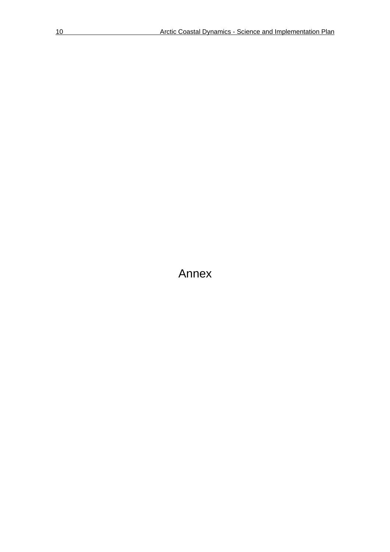Annex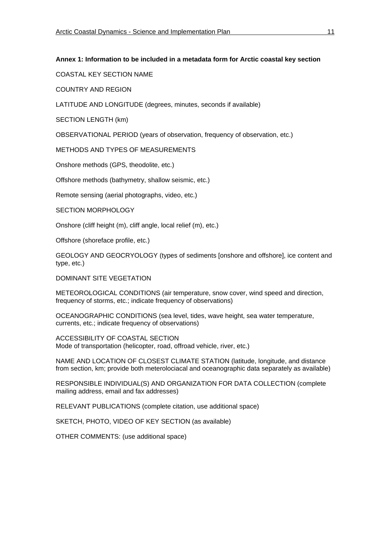#### **Annex 1: Information to be included in a metadata form for Arctic coastal key section**

COASTAL KEY SECTION NAME

COUNTRY AND REGION

LATITUDE AND LONGITUDE (degrees, minutes, seconds if available)

SECTION LENGTH (km)

OBSERVATIONAL PERIOD (years of observation, frequency of observation, etc.)

METHODS AND TYPES OF MEASUREMENTS

Onshore methods (GPS, theodolite, etc.)

Offshore methods (bathymetry, shallow seismic, etc.)

Remote sensing (aerial photographs, video, etc.)

SECTION MORPHOLOGY

Onshore (cliff height (m), cliff angle, local relief (m), etc.)

Offshore (shoreface profile, etc.)

GEOLOGY AND GEOCRYOLOGY (types of sediments [onshore and offshore], ice content and type, etc.)

DOMINANT SITE VEGETATION

METEOROLOGICAL CONDITIONS (air temperature, snow cover, wind speed and direction, frequency of storms, etc.; indicate frequency of observations)

OCEANOGRAPHIC CONDITIONS (sea level, tides, wave height, sea water temperature, currents, etc.; indicate frequency of observations)

ACCESSIBILITY OF COASTAL SECTION Mode of transportation (helicopter, road, offroad vehicle, river, etc.)

NAME AND LOCATION OF CLOSEST CLIMATE STATION (latitude, longitude, and distance from section, km; provide both meterolociacal and oceanographic data separately as available)

RESPONSIBLE INDIVIDUAL(S) AND ORGANIZATION FOR DATA COLLECTION (complete mailing address, email and fax addresses)

RELEVANT PUBLICATIONS (complete citation, use additional space)

SKETCH, PHOTO, VIDEO OF KEY SECTION (as available)

OTHER COMMENTS: (use additional space)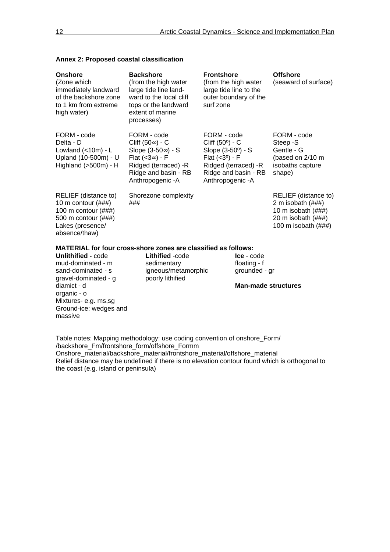| Onshore<br>(Zone which<br>immediately landward<br>of the backshore zone<br>to 1 km from extreme<br>high water)                              | <b>Backshore</b><br>(from the high water<br>large tide line land-<br>ward to the local cliff<br>tops or the landward<br>extent of marine<br>processes) | <b>Frontshore</b><br>(from the high water<br>large tide line to the<br>outer boundary of the<br>surf zone                                                   | <b>Offshore</b><br>(seaward of surface)                                                                      |  |  |  |
|---------------------------------------------------------------------------------------------------------------------------------------------|--------------------------------------------------------------------------------------------------------------------------------------------------------|-------------------------------------------------------------------------------------------------------------------------------------------------------------|--------------------------------------------------------------------------------------------------------------|--|--|--|
| FORM - code<br>Delta - D<br>Lowland $(<10m) - L$<br>Upland (10-500m) - U<br>Highland $(>500m) - H$                                          | FORM - code<br>Cliff (50) - C<br>Slope (3-50) - S<br>Flat $(<3) - F$<br>Ridged (terraced) -R<br>Ridge and basin - RB<br>Anthropogenic - A              | FORM - code<br>Cliff $(50^{\circ})$ - C<br>Slope (3-50°) - S<br>Flat $(3^{\circ}) - F$<br>Ridged (terraced) -R<br>Ridge and basin - RB<br>Anthropogenic - A | FORM - code<br>Steep -S<br>Gentle - G<br>(based on 2/10 m<br>isobaths capture<br>shape)                      |  |  |  |
| RELIEF (distance to)<br>10 m contour $(\# \# \#)$<br>100 m contour $(\# \# \#)$<br>500 m contour (###)<br>Lakes (presence/<br>absence/thaw) | Shorezone complexity<br>###                                                                                                                            |                                                                                                                                                             | RELIEF (distance to)<br>2 m isobath (###)<br>10 m isobath (###)<br>20 m isobath (###)<br>100 m isobath (###) |  |  |  |
| MATERIAL for four cross-shore zones are classified as follows:                                                                              |                                                                                                                                                        |                                                                                                                                                             |                                                                                                              |  |  |  |
| <b>Unlithified - code</b><br>mud-dominated - m<br>sand-dominated - s<br>gravel-dominated - g                                                | Lithified -code<br>sedimentary<br>igneous/metamorphic<br>poorly lithified                                                                              | <b>Ice</b> - code<br>floating - f<br>grounded - gr                                                                                                          |                                                                                                              |  |  |  |

#### **Annex 2: Proposed coastal classification**

diamict - d organic - o Mixtures- e.g. ms,sg Ground-ice: wedges and massive

#### **Man-made structures**

Table notes: Mapping methodology: use coding convention of onshore\_Form/ /backshore\_Fm/frontshore\_form/offshore\_Formm Onshore\_material/backshore\_material/frontshore\_material/offshore\_material Relief distance may be undefined if there is no elevation contour found which is orthogonal to the coast (e.g. island or peninsula)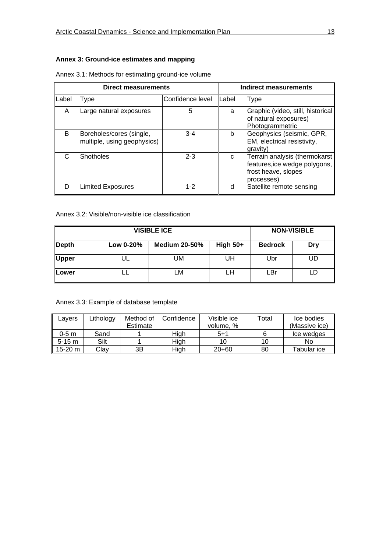#### **Annex 3: Ground-ice estimates and mapping**

| <b>Direct measurements</b> |                                                         |                  | Indirect measurements |                                                                                                     |  |
|----------------------------|---------------------------------------------------------|------------------|-----------------------|-----------------------------------------------------------------------------------------------------|--|
| Label                      | Type                                                    | Confidence level | Label                 | <b>Type</b>                                                                                         |  |
| A                          | Large natural exposures                                 | 5                | a                     | Graphic (video, still, historical<br>of natural exposures)<br>Photogrammetric                       |  |
| B                          | Boreholes/cores (single,<br>multiple, using geophysics) | $3 - 4$          | b                     | Geophysics (seismic, GPR,<br>EM, electrical resistivity,<br>gravity)                                |  |
| С                          | <b>Shotholes</b>                                        | $2 - 3$          | C                     | Terrain analysis (thermokarst<br>features, ice wedge polygons,<br>frost heave, slopes<br>processes) |  |
| D                          | <b>Limited Exposures</b>                                | $1 - 2$          |                       | Satellite remote sensing                                                                            |  |

| Annex 3.1: Methods for estimating ground-ice volume |  |  |
|-----------------------------------------------------|--|--|
|                                                     |  |  |

#### Annex 3.2: Visible/non-visible ice classification

| <b>VISIBLE ICE</b>   |           |                      |            |                | <b>NON-VISIBLE</b> |
|----------------------|-----------|----------------------|------------|----------------|--------------------|
| $\blacksquare$ Depth | Low 0-20% | <b>Medium 20-50%</b> | High $50+$ | <b>Bedrock</b> | Dry                |
| Upper                |           | UM                   | UH         | Ubr            | UD                 |
| <b>Lower</b>         |           | LM                   | LН         | LBr            | LD                 |

#### Annex 3.3: Example of database template

| Lavers   | ∟ithology | Method of | Confidence | Visible ice | Total | Ice bodies    |
|----------|-----------|-----------|------------|-------------|-------|---------------|
|          |           | Estimate  |            | volume, %   |       | (Massive ice) |
| 0-5 m    | Sand      |           | High       | $5 + 1$     |       | Ice wedges    |
| $5-15$ m | Silt      |           | High       | 10          | 10    | No            |
| 15-20 m  | Clav      | ЗB        | High       | $20+60$     | 80    | Tabular ice   |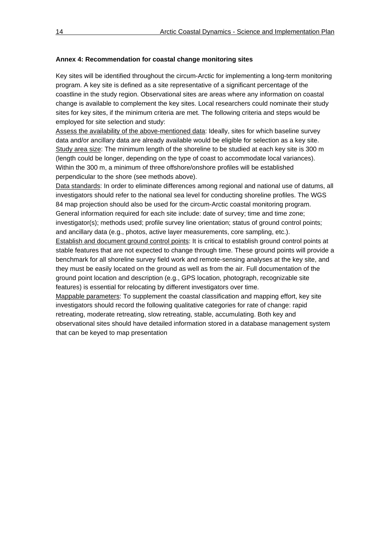#### **Annex 4: Recommendation for coastal change monitoring sites**

Key sites will be identified throughout the circum-Arctic for implementing a long-term monitoring program. A key site is defined as a site representative of a significant percentage of the coastline in the study region. Observational sites are areas where any information on coastal change is available to complement the key sites. Local researchers could nominate their study sites for key sites, if the minimum criteria are met. The following criteria and steps would be employed for site selection and study:

Assess the availability of the above-mentioned data: Ideally, sites for which baseline survey data and/or ancillary data are already available would be eligible for selection as a key site. Study area size: The minimum length of the shoreline to be studied at each key site is 300 m (length could be longer, depending on the type of coast to accommodate local variances). Within the 300 m, a minimum of three offshore/onshore profiles will be established perpendicular to the shore (see methods above).

Data standards: In order to eliminate differences among regional and national use of datums, all investigators should refer to the national sea level for conducting shoreline profiles. The WGS 84 map projection should also be used for the circum-Arctic coastal monitoring program. General information required for each site include: date of survey; time and time zone; investigator(s); methods used; profile survey line orientation; status of ground control points; and ancillary data (e.g., photos, active layer measurements, core sampling, etc.).

Establish and document ground control points: It is critical to establish ground control points at stable features that are not expected to change through time. These ground points will provide a benchmark for all shoreline survey field work and remote-sensing analyses at the key site, and they must be easily located on the ground as well as from the air. Full documentation of the ground point location and description (e.g., GPS location, photograph, recognizable site features) is essential for relocating by different investigators over time.

Mappable parameters: To supplement the coastal classification and mapping effort, key site investigators should record the following qualitative categories for rate of change: rapid retreating, moderate retreating, slow retreating, stable, accumulating. Both key and observational sites should have detailed information stored in a database management system that can be keyed to map presentation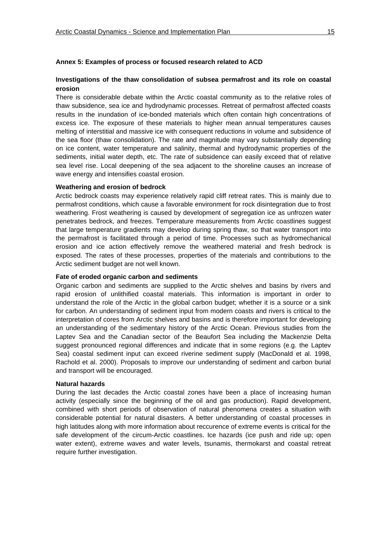#### **Investigations of the thaw consolidation of subsea permafrost and its role on coastal erosion**

There is considerable debate within the Arctic coastal community as to the relative roles of thaw subsidence, sea ice and hydrodynamic processes. Retreat of permafrost affected coasts results in the inundation of ice-bonded materials which often contain high concentrations of excess ice. The exposure of these materials to higher mean annual temperatures causes melting of interstitial and massive ice with consequent reductions in volume and subsidence of the sea floor (thaw consolidation). The rate and magnitude may vary substantially depending on ice content, water temperature and salinity, thermal and hydrodynamic properties of the sediments, initial water depth, etc. The rate of subsidence can easily exceed that of relative sea level rise. Local deepening of the sea adjacent to the shoreline causes an increase of wave energy and intensifies coastal erosion.

#### **Weathering and erosion of bedrock**

Arctic bedrock coasts may experience relatively rapid cliff retreat rates. This is mainly due to permafrost conditions, which cause a favorable environment for rock disintegration due to frost weathering. Frost weathering is caused by development of segregation ice as unfrozen water penetrates bedrock, and freezes. Temperature measurements from Arctic coastlines suggest that large temperature gradients may develop during spring thaw, so that water transport into the permafrost is facilitated through a period of time. Processes such as hydromechanical erosion and ice action effectively remove the weathered material and fresh bedrock is exposed. The rates of these processes, properties of the materials and contributions to the Arctic sediment budget are not well known.

#### **Fate of eroded organic carbon and sediments**

Organic carbon and sediments are supplied to the Arctic shelves and basins by rivers and rapid erosion of unlithified coastal materials. This information is important in order to understand the role of the Arctic in the global carbon budget; whether it is a source or a sink for carbon. An understanding of sediment input from modern coasts and rivers is critical to the interpretation of cores from Arctic shelves and basins and is therefore important for developing an understanding of the sedimentary history of the Arctic Ocean. Previous studies from the Laptev Sea and the Canadian sector of the Beaufort Sea including the Mackenzie Delta suggest pronounced regional differences and indicate that in some regions (e.g. the Laptev Sea) coastal sediment input can exceed riverine sediment supply (MacDonald et al. 1998, Rachold et al. 2000). Proposals to improve our understanding of sediment and carbon burial and transport will be encouraged.

#### **Natural hazards**

During the last decades the Arctic coastal zones have been a place of increasing human activity (especially since the beginning of the oil and gas production). Rapid development, combined with short periods of observation of natural phenomena creates a situation with considerable potential for natural disasters. A better understanding of coastal processes in high latitudes along with more information about reccurence of extreme events is critical for the safe development of the circum-Arctic coastlines. Ice hazards (ice push and ride up; open water extent), extreme waves and water levels, tsunamis, thermokarst and coastal retreat require further investigation.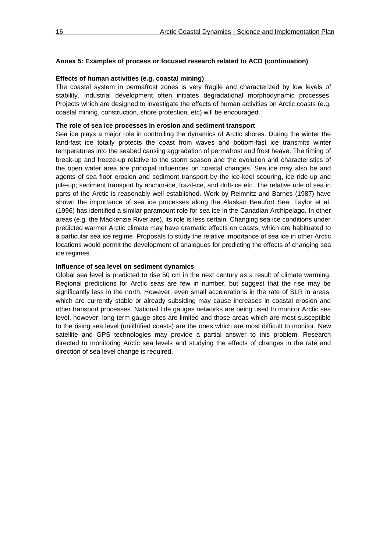#### **Annex 5: Examples of process or focused research related to ACD (continuation)**

#### **Effects of human activities (e.g. coastal mining)**

The coastal system in permafrost zones is very fragile and characterized by low levels of stability. Industrial development often initiates degradational morphodynamic processes. Projects which are designed to investigate the effects of human activities on Arctic coasts (e.g. coastal mining, construction, shore protection, etc) will be encouraged.

#### **The role of sea ice processes in erosion and sediment transport**

Sea ice plays a major role in controlling the dynamics of Arctic shores. During the winter the land-fast ice totally protects the coast from waves and bottom-fast ice transmits winter temperatures into the seabed causing aggradation of permafrost and frost heave. The timing of break-up and freeze-up relative to the storm season and the evolution and characteristics of the open water area are principal influences on coastal changes. Sea ice may also be and agents of sea floor erosion and sediment transport by the ice-keel scouring, ice ride-up and pile-up; sediment transport by anchor-ice, frazil-ice, and drift-ice etc. The relative role of sea in parts of the Arctic is reasonably well established. Work by Reimnitz and Barnes (1987) have shown the importance of sea ice processes along the Alaskan Beaufort Sea; Taylor et al. (1996) has identified a similar paramount role for sea ice in the Canadian Archipelago. In other areas (e.g. the Mackenzie River are), its role is less certain. Changing sea ice conditions under predicted warmer Arctic climate may have dramatic effects on coasts, which are habituated to a particular sea ice regime. Proposals to study the relative importance of sea ice in other Arctic locations would permit the development of analogues for predicting the effects of changing sea ice regimes.

#### **Influence of sea level on sediment dynamics**

Global sea level is predicted to rise 50 cm in the next century as a result of climate warming. Regional predictions for Arctic seas are few in number, but suggest that the rise may be significantly less in the north. However, even small accelerations in the rate of SLR in areas, which are currently stable or already subsiding may cause increases in coastal erosion and other transport processes. National tide gauges networks are being used to monitor Arctic sea level, however, long-term gauge sites are limited and those areas which are most susceptible to the rising sea level (unlithified coasts) are the ones which are most difficult to monitor. New satellite and GPS technologies may provide a partial answer to this problem. Research directed to monitoring Arctic sea levels and studying the effects of changes in the rate and direction of sea level change is required.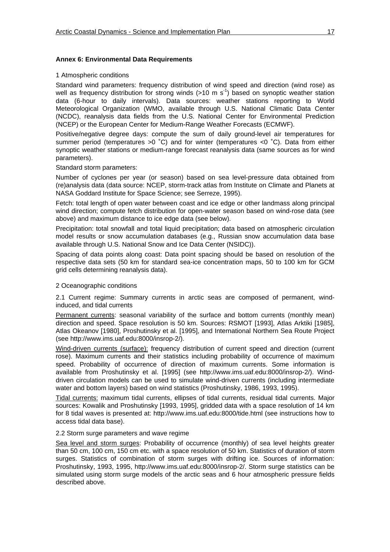#### **Annex 6: Environmental Data Requirements**

#### 1 Atmospheric conditions

Standard wind parameters: frequency distribution of wind speed and direction (wind rose) as well as frequency distribution for strong winds  $(>10 \text{ m s}^{-1})$  based on synoptic weather station data (6-hour to daily intervals). Data sources: weather stations reporting to World Meteorological Organization (WMO, available through U.S. National Climatic Data Center (NCDC), reanalysis data fields from the U.S. National Center for Environmental Prediction (NCEP) or the European Center for Medium-Range Weather Forecasts (ECMWF).

Positive/negative degree days: compute the sum of daily ground-level air temperatures for summer period (temperatures >0 °C) and for winter (temperatures <0 °C). Data from either synoptic weather stations or medium-range forecast reanalysis data (same sources as for wind parameters).

#### Standard storm parameters:

Number of cyclones per year (or season) based on sea level-pressure data obtained from (re)analysis data (data source: NCEP, storm-track atlas from Institute on Climate and Planets at NASA Goddard Institute for Space Science; see Serreze, 1995).

Fetch: total length of open water between coast and ice edge or other landmass along principal wind direction; compute fetch distribution for open-water season based on wind-rose data (see above) and maximum distance to ice edge data (see below).

Precipitation: total snowfall and total liquid precipitation; data based on atmospheric circulation model results or snow accumulation databases (e.g., Russian snow accumulation data base available through U.S. National Snow and Ice Data Center (NSIDC)).

Spacing of data points along coast: Data point spacing should be based on resolution of the respective data sets (50 km for standard sea-ice concentration maps, 50 to 100 km for GCM grid cells determining reanalysis data).

#### 2 Oceanographic conditions

2.1 Current regime: Summary currents in arctic seas are composed of permanent, windinduced, and tidal currents

Permanent currents: seasonal variability of the surface and bottom currents (monthly mean) direction and speed. Space resolution is 50 km. Sources: RSMOT [1993], Atlas Arktiki [1985], Atlas Okeanov [1980], Proshutinsky et al. [1995], and International Northern Sea Route Project (see http://www.ims.uaf.edu:8000/insrop-2/).

Wind-driven currents (surface): frequency distribution of current speed and direction (current rose). Maximum currents and their statistics including probability of occurrence of maximum speed. Probability of occurrence of direction of maximum currents. Some information is available from Proshutinsky et al. [1995] (see http://www.ims.uaf.edu:8000/insrop-2/). Winddriven circulation models can be used to simulate wind-driven currents (including intermediate water and bottom layers) based on wind statistics (Proshutinsky, 1986, 1993, 1995).

Tidal currents: maximum tidal currents, ellipses of tidal currents, residual tidal currents. Major sources: Kowalik and Proshutinsky [1993, 1995], gridded data with a space resolution of 14 km for 8 tidal waves is presented at: http://www.ims.uaf.edu:8000/tide.html (see instructions how to access tidal data base).

#### 2.2 Storm surge parameters and wave regime

Sea level and storm surges: Probability of occurrence (monthly) of sea level heights greater than 50 cm, 100 cm, 150 cm etc. with a space resolution of 50 km. Statistics of duration of storm surges. Statistics of combination of storm surges with drifting ice. Sources of information: Proshutinsky, 1993, 1995, http://www.ims.uaf.edu:8000/insrop-2/. Storm surge statistics can be simulated using storm surge models of the arctic seas and 6 hour atmospheric pressure fields described above.